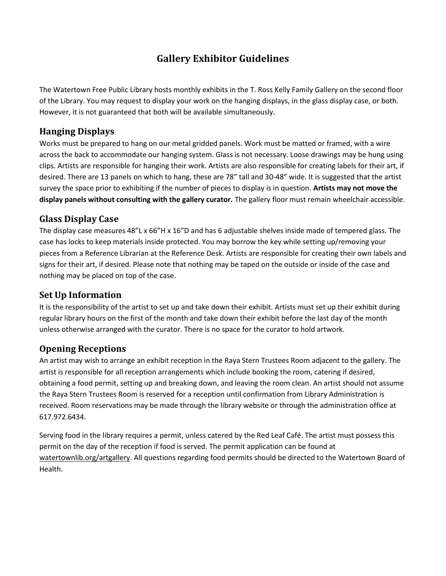# **Gallery Exhibitor Guidelines**

The Watertown Free Public Library hosts monthly exhibits in the T. Ross Kelly Family Gallery on the second floor of the Library. You may request to display your work on the hanging displays, in the glass display case, or both. However, it is not guaranteed that both will be available simultaneously.

## **Hanging Displays**

Works must be prepared to hang on our metal gridded panels. Work must be matted or framed, with a wire across the back to accommodate our hanging system. Glass is not necessary. Loose drawings may be hung using clips. Artists are responsible for hanging their work. Artists are also responsible for creating labels for their art, if desired. There are 13 panels on which to hang, these are 78" tall and 30-48" wide. It is suggested that the artist survey the space prior to exhibiting if the number of pieces to display is in question. **Artists may not move the display panels without consulting with the gallery curator.** The gallery floor must remain wheelchair accessible.

# **Glass Display Case**

The display case measures 48"L x 66"H x 16"D and has 6 adjustable shelves inside made of tempered glass. The case has locks to keep materials inside protected. You may borrow the key while setting up/removing your pieces from a Reference Librarian at the Reference Desk. Artists are responsible for creating their own labels and signs for their art, if desired. Please note that nothing may be taped on the outside or inside of the case and nothing may be placed on top of the case.

## **Set Up Information**

It is the responsibility of the artist to set up and take down their exhibit. Artists must set up their exhibit during regular library hours on the first of the month and take down their exhibit before the last day of the month unless otherwise arranged with the curator. There is no space for the curator to hold artwork.

## **Opening Receptions**

An artist may wish to arrange an exhibit reception in the Raya Stern Trustees Room adjacent to the gallery. The artist is responsible for all reception arrangements which include booking the room, catering if desired, obtaining a food permit, setting up and breaking down, and leaving the room clean. An artist should not assume the Raya Stern Trustees Room is reserved for a reception until confirmation from Library Administration is received. Room reservations may be made through the library website or through the administration office at 617.972.6434.

Serving food in the library requires a permit, unless catered by the Red Leaf Café. The artist must possess this permit on the day of the reception if food is served. The permit application can be found at watertownlib.org/artgallery. All questions regarding food permits should be directed to the Watertown Board of Health.